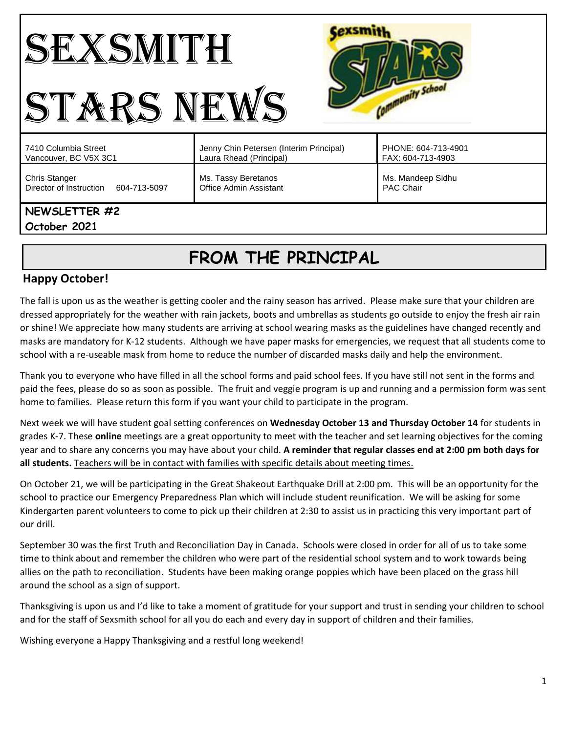#### **Cexsmith** SEXSMITH Community School STARS NEWS PHONE: 604-713-4901 7410 Columbia Street Jenny Chin Petersen (Interim Principal) Vancouver, BC V5X 3C1 Laura Rhead (Principal) FAX: 604-713-4903 Chris Stanger Ms. Tassy Beretanos Ms. Mandeep Sidhu Director of Instruction 604-713-5097 Office Admin Assistant PAC Chair

## **NEWSLETTER #2**

**October 2021**

# **FROM THE PRINCIPAL**

## **Happy October!**

The fall is upon us as the weather is getting cooler and the rainy season has arrived. Please make sure that your children are dressed appropriately for the weather with rain jackets, boots and umbrellas as students go outside to enjoy the fresh air rain or shine! We appreciate how many students are arriving at school wearing masks as the guidelines have changed recently and masks are mandatory for K-12 students. Although we have paper masks for emergencies, we request that all students come to school with a re-useable mask from home to reduce the number of discarded masks daily and help the environment.

Thank you to everyone who have filled in all the school forms and paid school fees. If you have still not sent in the forms and paid the fees, please do so as soon as possible. The fruit and veggie program is up and running and a permission form was sent home to families. Please return this form if you want your child to participate in the program.

Next week we will have student goal setting conferences on **Wednesday October 13 and Thursday October 14** for students in grades K-7. These **online** meetings are a great opportunity to meet with the teacher and set learning objectives for the coming year and to share any concerns you may have about your child. **A reminder that regular classes end at 2:00 pm both days for all students.** Teachers will be in contact with families with specific details about meeting times.

On October 21, we will be participating in the Great Shakeout Earthquake Drill at 2:00 pm. This will be an opportunity for the school to practice our Emergency Preparedness Plan which will include student reunification. We will be asking for some Kindergarten parent volunteers to come to pick up their children at 2:30 to assist us in practicing this very important part of our drill.

September 30 was the first Truth and Reconciliation Day in Canada. Schools were closed in order for all of us to take some time to think about and remember the children who were part of the residential school system and to work towards being allies on the path to reconciliation. Students have been making orange poppies which have been placed on the grass hill around the school as a sign of support.

Thanksgiving is upon us and I'd like to take a moment of gratitude for your support and trust in sending your children to school and for the staff of Sexsmith school for all you do each and every day in support of children and their families.

Wishing everyone a Happy Thanksgiving and a restful long weekend!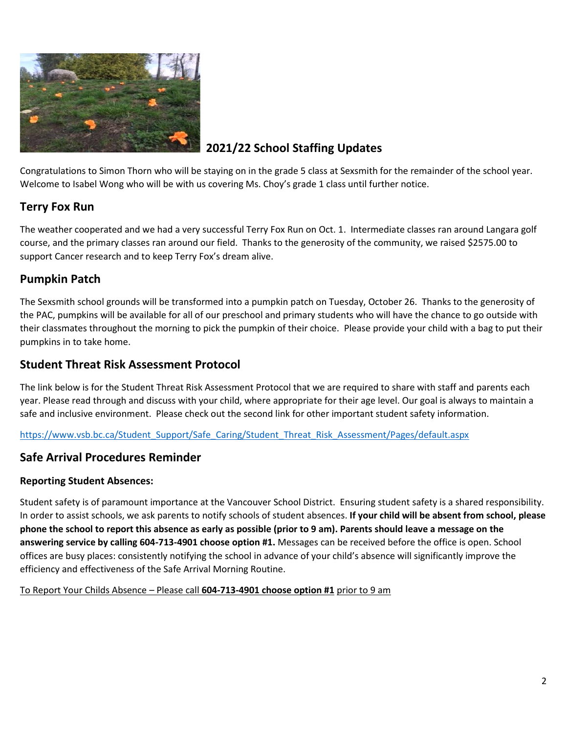

## **2021/22 School Staffing Updates**

Congratulations to Simon Thorn who will be staying on in the grade 5 class at Sexsmith for the remainder of the school year. Welcome to Isabel Wong who will be with us covering Ms. Choy's grade 1 class until further notice.

## **Terry Fox Run**

The weather cooperated and we had a very successful Terry Fox Run on Oct. 1. Intermediate classes ran around Langara golf course, and the primary classes ran around our field. Thanks to the generosity of the community, we raised \$2575.00 to support Cancer research and to keep Terry Fox's dream alive.

## **Pumpkin Patch**

The Sexsmith school grounds will be transformed into a pumpkin patch on Tuesday, October 26. Thanks to the generosity of the PAC, pumpkins will be available for all of our preschool and primary students who will have the chance to go outside with their classmates throughout the morning to pick the pumpkin of their choice. Please provide your child with a bag to put their pumpkins in to take home.

#### **Student Threat Risk Assessment Protocol**

The link below is for the Student Threat Risk Assessment Protocol that we are required to share with staff and parents each year. Please read through and discuss with your child, where appropriate for their age level. Our goal is always to maintain a safe and inclusive environment. Please check out the second link for other important student safety information.

[https://www.vsb.bc.ca/Student\\_Support/Safe\\_Caring/Student\\_Threat\\_Risk\\_Assessment/Pages/default.aspx](https://www.vsb.bc.ca/Student_Support/Safe_Caring/Student_Threat_Risk_Assessment/Pages/default.aspx)

## **Safe Arrival Procedures Reminder**

#### **Reporting Student Absences:**

Student safety is of paramount importance at the Vancouver School District. Ensuring student safety is a shared responsibility. In order to assist schools, we ask parents to notify schools of student absences. **If your child will be absent from school, please phone the school to report this absence as early as possible (prior to 9 am). Parents should leave a message on the answering service by calling 604-713-4901 choose option #1.** Messages can be received before the office is open. School offices are busy places: consistently notifying the school in advance of your child's absence will significantly improve the efficiency and effectiveness of the Safe Arrival Morning Routine.

To Report Your Childs Absence – Please call **604-713-4901 choose option #1** prior to 9 am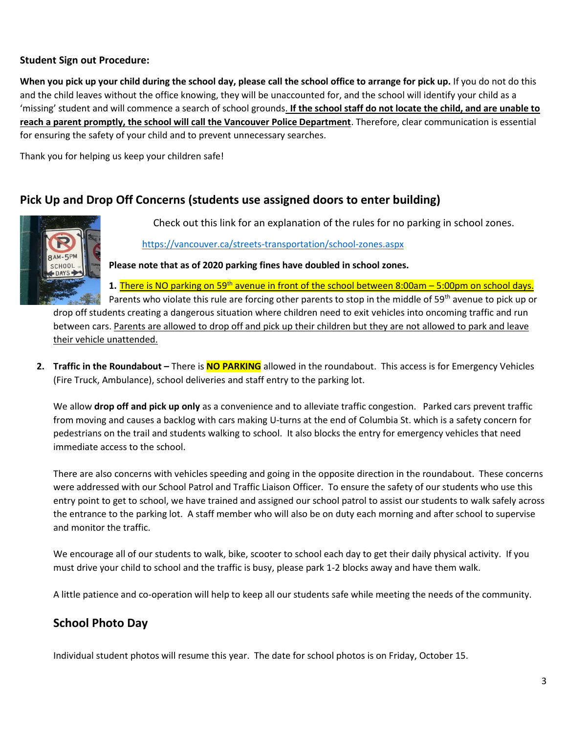#### **Student Sign out Procedure:**

**When you pick up your child during the school day, please call the school office to arrange for pick up.** If you do not do this and the child leaves without the office knowing, they will be unaccounted for, and the school will identify your child as a 'missing' student and will commence a search of school grounds. **If the school staff do not locate the child, and are unable to reach a parent promptly, the school will call the Vancouver Police Department**. Therefore, clear communication is essential for ensuring the safety of your child and to prevent unnecessary searches.

Thank you for helping us keep your children safe!

#### **Pick Up and Drop Off Concerns (students use assigned doors to enter building)**



Check out this link for an explanation of the rules for no parking in school zones.

<https://vancouver.ca/streets-transportation/school-zones.aspx>

**Please note that as of 2020 parking fines have doubled in school zones.** 

**1.** There is NO parking on 59th avenue in front of the school between 8:00am – 5:00pm on school days.

Parents who violate this rule are forcing other parents to stop in the middle of 59<sup>th</sup> avenue to pick up or drop off students creating a dangerous situation where children need to exit vehicles into oncoming traffic and run between cars. Parents are allowed to drop off and pick up their children but they are not allowed to park and leave their vehicle unattended.

**2. Traffic in the Roundabout –** There is **NO PARKING** allowed in the roundabout. This access is for Emergency Vehicles (Fire Truck, Ambulance), school deliveries and staff entry to the parking lot.

We allow **drop off and pick up only** as a convenience and to alleviate traffic congestion. Parked cars prevent traffic from moving and causes a backlog with cars making U-turns at the end of Columbia St. which is a safety concern for pedestrians on the trail and students walking to school. It also blocks the entry for emergency vehicles that need immediate access to the school.

There are also concerns with vehicles speeding and going in the opposite direction in the roundabout. These concerns were addressed with our School Patrol and Traffic Liaison Officer. To ensure the safety of our students who use this entry point to get to school, we have trained and assigned our school patrol to assist our students to walk safely across the entrance to the parking lot. A staff member who will also be on duty each morning and after school to supervise and monitor the traffic.

We encourage all of our students to walk, bike, scooter to school each day to get their daily physical activity. If you must drive your child to school and the traffic is busy, please park 1-2 blocks away and have them walk.

A little patience and co-operation will help to keep all our students safe while meeting the needs of the community.

## **School Photo Day**

Individual student photos will resume this year. The date for school photos is on Friday, October 15.